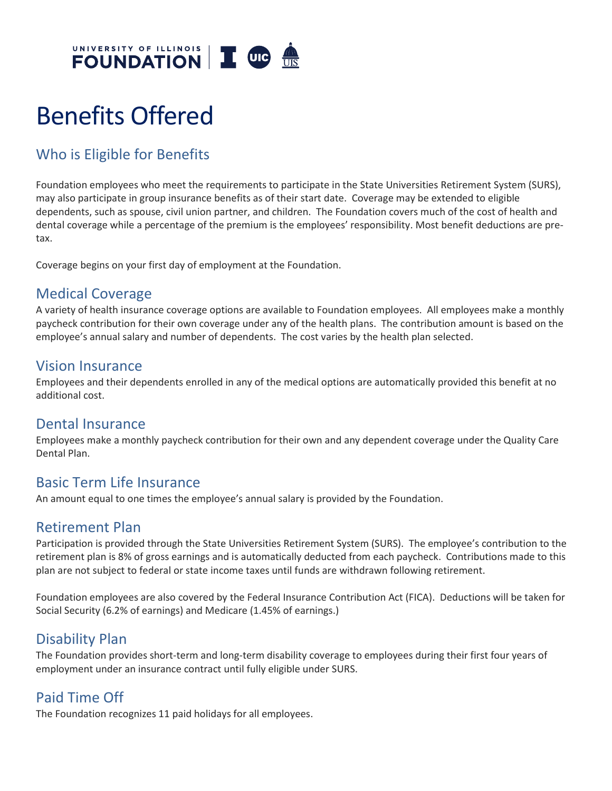

# Benefits Offered

# Who is Eligible for Benefits

Foundation employees who meet the requirements to participate in the State Universities Retirement System (SURS), may also participate in group insurance benefits as of their start date. Coverage may be extended to eligible dependents, such as spouse, civil union partner, and children. The Foundation covers much of the cost of health and dental coverage while a percentage of the premium is the employees' responsibility. Most benefit deductions are pretax.

Coverage begins on your first day of employment at the Foundation.

## Medical Coverage

A variety of health insurance coverage options are available to Foundation employees. All employees make a monthly paycheck contribution for their own coverage under any of the health plans. The contribution amount is based on the employee's annual salary and number of dependents. The cost varies by the health plan selected.

#### Vision Insurance

Employees and their dependents enrolled in any of the medical options are automatically provided this benefit at no additional cost.

#### Dental Insurance

Employees make a monthly paycheck contribution for their own and any dependent coverage under the Quality Care Dental Plan.

## Basic Term Life Insurance

An amount equal to one times the employee's annual salary is provided by the Foundation.

#### Retirement Plan

Participation is provided through the State Universities Retirement System (SURS). The employee's contribution to the retirement plan is 8% of gross earnings and is automatically deducted from each paycheck. Contributions made to this plan are not subject to federal or state income taxes until funds are withdrawn following retirement.

Foundation employees are also covered by the Federal Insurance Contribution Act (FICA). Deductions will be taken for Social Security (6.2% of earnings) and Medicare (1.45% of earnings.)

## Disability Plan

The Foundation provides short-term and long-term disability coverage to employees during their first four years of employment under an insurance contract until fully eligible under SURS.

## Paid Time Off

The Foundation recognizes 11 paid holidays for all employees.